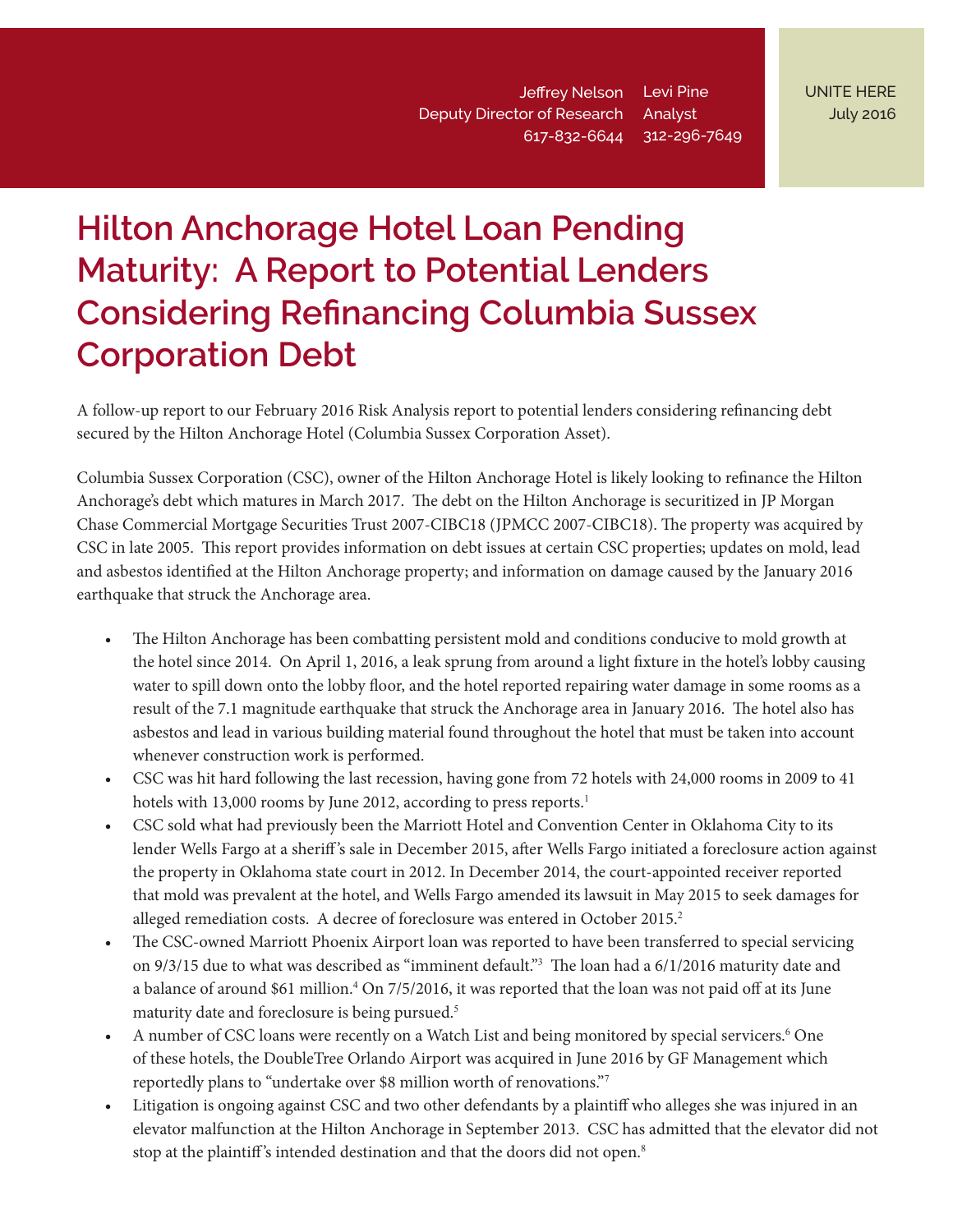Levi Pine Analyst 312-296-7649 617-832-6644 Jeffrey Nelson Deputy Director of Research

# **Hilton Anchorage Hotel Loan Pending Maturity: A Report to Potential Lenders Considering Refinancing Columbia Sussex Corporation Debt**

A follow-up report to our February 2016 Risk Analysis report to potential lenders considering refinancing debt secured by the Hilton Anchorage Hotel (Columbia Sussex Corporation Asset).

Columbia Sussex Corporation (CSC), owner of the Hilton Anchorage Hotel is likely looking to refinance the Hilton Anchorage's debt which matures in March 2017. The debt on the Hilton Anchorage is securitized in JP Morgan Chase Commercial Mortgage Securities Trust 2007-CIBC18 (JPMCC 2007-CIBC18). The property was acquired by CSC in late 2005. This report provides information on debt issues at certain CSC properties; updates on mold, lead and asbestos identified at the Hilton Anchorage property; and information on damage caused by the January 2016 earthquake that struck the Anchorage area.

- The Hilton Anchorage has been combatting persistent mold and conditions conducive to mold growth at the hotel since 2014. On April 1, 2016, a leak sprung from around a light fixture in the hotel's lobby causing water to spill down onto the lobby floor, and the hotel reported repairing water damage in some rooms as a result of the 7.1 magnitude earthquake that struck the Anchorage area in January 2016. The hotel also has asbestos and lead in various building material found throughout the hotel that must be taken into account whenever construction work is performed.
- CSC was hit hard following the last recession, having gone from 72 hotels with 24,000 rooms in 2009 to 41 hotels with 13,000 rooms by June 2012, according to press reports.<sup>1</sup>
- CSC sold what had previously been the Marriott Hotel and Convention Center in Oklahoma City to its lender Wells Fargo at a sheriff 's sale in December 2015, after Wells Fargo initiated a foreclosure action against the property in Oklahoma state court in 2012. In December 2014, the court-appointed receiver reported that mold was prevalent at the hotel, and Wells Fargo amended its lawsuit in May 2015 to seek damages for alleged remediation costs. A decree of foreclosure was entered in October 2015.<sup>2</sup>
- The CSC-owned Marriott Phoenix Airport loan was reported to have been transferred to special servicing on 9/3/15 due to what was described as "imminent default."<sup>3</sup> The loan had a 6/1/2016 maturity date and a balance of around \$61 million.<sup>4</sup> On 7/5/2016, it was reported that the loan was not paid off at its June maturity date and foreclosure is being pursued.<sup>5</sup>
- A number of CSC loans were recently on a Watch List and being monitored by special servicers.<sup>6</sup> One of these hotels, the DoubleTree Orlando Airport was acquired in June 2016 by GF Management which reportedly plans to "undertake over \$8 million worth of renovations."<sup>7</sup>
- Litigation is ongoing against CSC and two other defendants by a plaintiff who alleges she was injured in an elevator malfunction at the Hilton Anchorage in September 2013. CSC has admitted that the elevator did not stop at the plaintiff's intended destination and that the doors did not open.<sup>8</sup>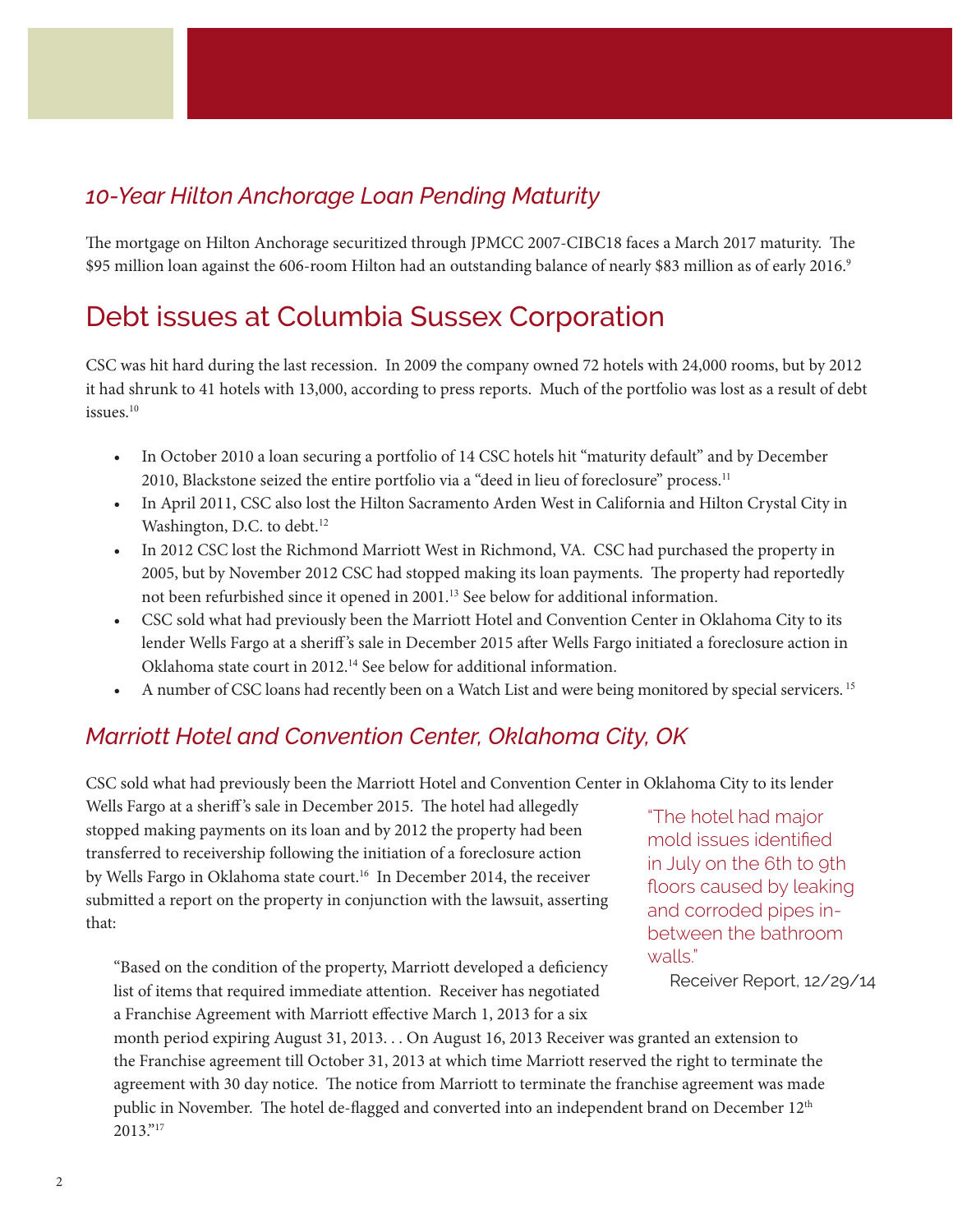#### *10-Year Hilton Anchorage Loan Pending Maturity*

The mortgage on Hilton Anchorage securitized through JPMCC 2007-CIBC18 faces a March 2017 maturity. The \$95 million loan against the 606-room Hilton had an outstanding balance of nearly \$83 million as of early 2016.<sup>9</sup>

### Debt issues at Columbia Sussex Corporation

CSC was hit hard during the last recession. In 2009 the company owned 72 hotels with 24,000 rooms, but by 2012 it had shrunk to 41 hotels with 13,000, according to press reports. Much of the portfolio was lost as a result of debt issues.<sup>10</sup>

- In October 2010 a loan securing a portfolio of 14 CSC hotels hit "maturity default" and by December 2010, Blackstone seized the entire portfolio via a "deed in lieu of foreclosure" process.<sup>11</sup>
- In April 2011, CSC also lost the Hilton Sacramento Arden West in California and Hilton Crystal City in Washington, D.C. to debt.<sup>12</sup>
- In 2012 CSC lost the Richmond Marriott West in Richmond, VA. CSC had purchased the property in 2005, but by November 2012 CSC had stopped making its loan payments. The property had reportedly not been refurbished since it opened in 2001.<sup>13</sup> See below for additional information.
- CSC sold what had previously been the Marriott Hotel and Convention Center in Oklahoma City to its lender Wells Fargo at a sheriff 's sale in December 2015 after Wells Fargo initiated a foreclosure action in Oklahoma state court in 2012.<sup>14</sup> See below for additional information.
- A number of CSC loans had recently been on a Watch List and were being monitored by special servicers.<sup>15</sup>

#### *Marriott Hotel and Convention Center, Oklahoma City, OK*

CSC sold what had previously been the Marriott Hotel and Convention Center in Oklahoma City to its lender

Wells Fargo at a sheriff's sale in December 2015. The hotel had allegedly stopped making payments on its loan and by 2012 the property had been transferred to receivership following the initiation of a foreclosure action by Wells Fargo in Oklahoma state court.<sup>16</sup> In December 2014, the receiver submitted a report on the property in conjunction with the lawsuit, asserting that:

"Based on the condition of the property, Marriott developed a deficiency list of items that required immediate attention. Receiver has negotiated a Franchise Agreement with Marriott effective March 1, 2013 for a six

"The hotel had major mold issues identified in July on the 6th to 9th floors caused by leaking and corroded pipes inbetween the bathroom walls."

Receiver Report, 12/29/14

month period expiring August 31, 2013. . . On August 16, 2013 Receiver was granted an extension to the Franchise agreement till October 31, 2013 at which time Marriott reserved the right to terminate the agreement with 30 day notice. The notice from Marriott to terminate the franchise agreement was made public in November. The hotel de-flagged and converted into an independent brand on December 12<sup>th</sup> 2013."17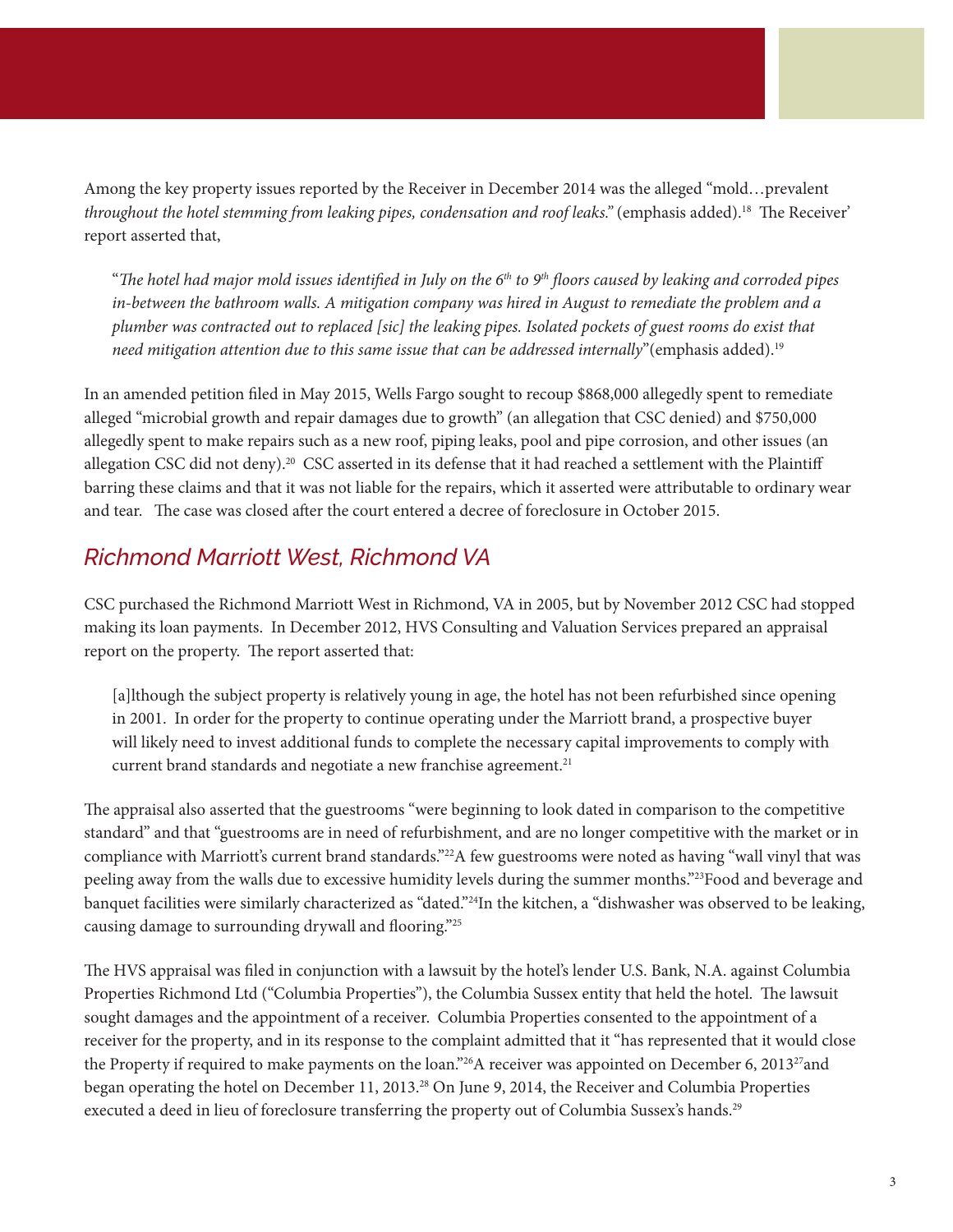Among the key property issues reported by the Receiver in December 2014 was the alleged "mold…prevalent *throughout the hotel stemming from leaking pipes, condensation and roof leaks."* (emphasis added).18 The Receiver' report asserted that,

"*The hotel had major mold issues identified in July on the 6th to 9th floors caused by leaking and corroded pipes in-between the bathroom walls. A mitigation company was hired in August to remediate the problem and a plumber was contracted out to replaced [sic] the leaking pipes. Isolated pockets of guest rooms do exist that need mitigation attention due to this same issue that can be addressed internally*"(emphasis added).19

In an amended petition filed in May 2015, Wells Fargo sought to recoup \$868,000 allegedly spent to remediate alleged "microbial growth and repair damages due to growth" (an allegation that CSC denied) and \$750,000 allegedly spent to make repairs such as a new roof, piping leaks, pool and pipe corrosion, and other issues (an allegation CSC did not deny).20 CSC asserted in its defense that it had reached a settlement with the Plaintiff barring these claims and that it was not liable for the repairs, which it asserted were attributable to ordinary wear and tear. The case was closed after the court entered a decree of foreclosure in October 2015.

#### *Richmond Marriott West, Richmond VA*

CSC purchased the Richmond Marriott West in Richmond, VA in 2005, but by November 2012 CSC had stopped making its loan payments. In December 2012, HVS Consulting and Valuation Services prepared an appraisal report on the property. The report asserted that:

[a]lthough the subject property is relatively young in age, the hotel has not been refurbished since opening in 2001. In order for the property to continue operating under the Marriott brand, a prospective buyer will likely need to invest additional funds to complete the necessary capital improvements to comply with current brand standards and negotiate a new franchise agreement.<sup>21</sup>

The appraisal also asserted that the guestrooms "were beginning to look dated in comparison to the competitive standard" and that "guestrooms are in need of refurbishment, and are no longer competitive with the market or in compliance with Marriott's current brand standards."<sup>22</sup>A few guestrooms were noted as having "wall vinyl that was peeling away from the walls due to excessive humidity levels during the summer months."23Food and beverage and banquet facilities were similarly characterized as "dated."24In the kitchen, a "dishwasher was observed to be leaking, causing damage to surrounding drywall and flooring."25

The HVS appraisal was filed in conjunction with a lawsuit by the hotel's lender U.S. Bank, N.A. against Columbia Properties Richmond Ltd ("Columbia Properties"), the Columbia Sussex entity that held the hotel. The lawsuit sought damages and the appointment of a receiver. Columbia Properties consented to the appointment of a receiver for the property, and in its response to the complaint admitted that it "has represented that it would close the Property if required to make payments on the loan."<sup>26</sup>A receiver was appointed on December 6, 2013<sup>27</sup>and began operating the hotel on December 11, 2013.28 On June 9, 2014, the Receiver and Columbia Properties executed a deed in lieu of foreclosure transferring the property out of Columbia Sussex's hands.<sup>29</sup>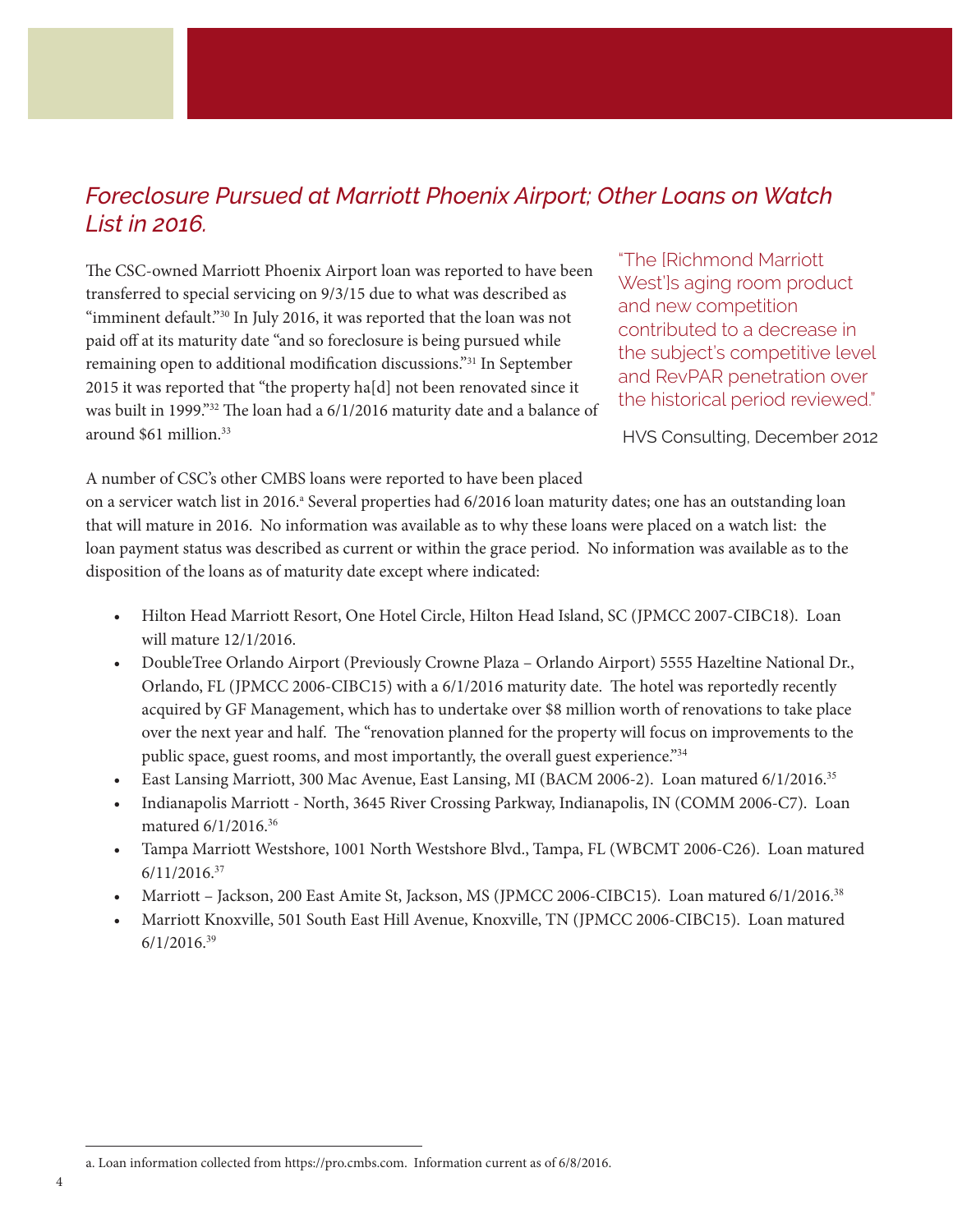#### *Foreclosure Pursued at Marriott Phoenix Airport; Other Loans on Watch List in 2016.*

The CSC-owned Marriott Phoenix Airport loan was reported to have been transferred to special servicing on 9/3/15 due to what was described as "imminent default."<sup>30</sup> In July 2016, it was reported that the loan was not paid off at its maturity date "and so foreclosure is being pursued while remaining open to additional modification discussions."31 In September 2015 it was reported that "the property ha[d] not been renovated since it was built in 1999."32 The loan had a 6/1/2016 maturity date and a balance of around \$61 million.33

"The [Richmond Marriott West']s aging room product and new competition contributed to a decrease in the subject's competitive level and RevPAR penetration over the historical period reviewed."

HVS Consulting, December 2012

A number of CSC's other CMBS loans were reported to have been placed

on a servicer watch list in 2016.<sup>a</sup> Several properties had 6/2016 loan maturity dates; one has an outstanding loan that will mature in 2016. No information was available as to why these loans were placed on a watch list: the loan payment status was described as current or within the grace period. No information was available as to the disposition of the loans as of maturity date except where indicated:

- Hilton Head Marriott Resort, One Hotel Circle, Hilton Head Island, SC (JPMCC 2007-CIBC18). Loan will mature 12/1/2016.
- DoubleTree Orlando Airport (Previously Crowne Plaza Orlando Airport) 5555 Hazeltine National Dr., Orlando, FL (JPMCC 2006-CIBC15) with a 6/1/2016 maturity date. The hotel was reportedly recently acquired by GF Management, which has to undertake over \$8 million worth of renovations to take place over the next year and half. The "renovation planned for the property will focus on improvements to the public space, guest rooms, and most importantly, the overall guest experience."<sup>34</sup>
- East Lansing Marriott, 300 Mac Avenue, East Lansing, MI (BACM 2006-2). Loan matured 6/1/2016.<sup>35</sup>
- Indianapolis Marriott North, 3645 River Crossing Parkway, Indianapolis, IN (COMM 2006-C7). Loan matured 6/1/2016.<sup>36</sup>
- Tampa Marriott Westshore, 1001 North Westshore Blvd., Tampa, FL (WBCMT 2006-C26). Loan matured 6/11/2016.<sup>37</sup>
- Marriott Jackson, 200 East Amite St, Jackson, MS (JPMCC 2006-CIBC15). Loan matured 6/1/2016.<sup>38</sup>
- Marriott Knoxville, 501 South East Hill Avenue, Knoxville, TN (JPMCC 2006-CIBC15). Loan matured 6/1/2016.<sup>39</sup>

a. Loan information collected from [https://pro.cmbs.com.](https://pro.cmbs.com) Information current as of 6/8/2016.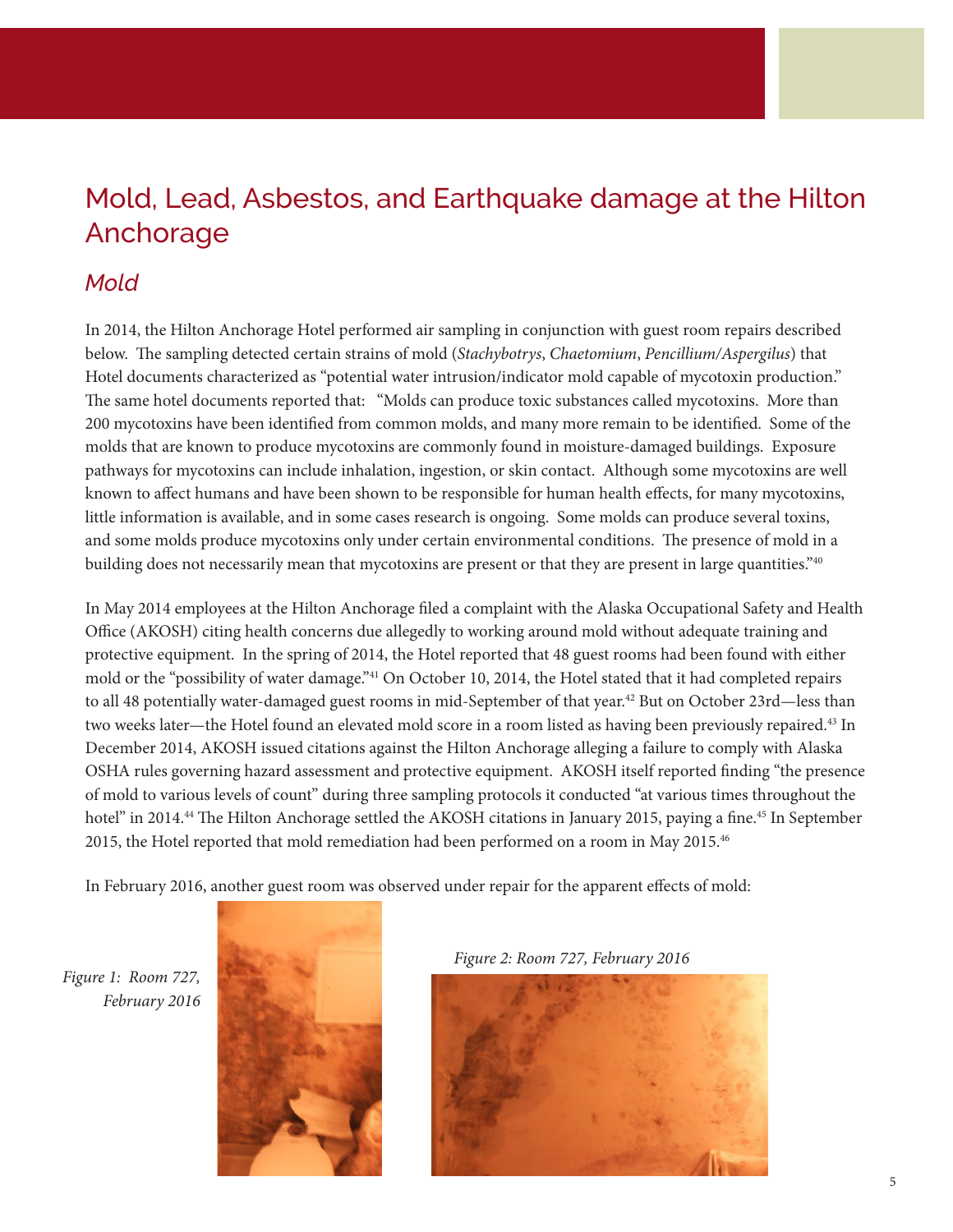# Mold, Lead, Asbestos, and Earthquake damage at the Hilton Anchorage

#### *Mold*

In 2014, the Hilton Anchorage Hotel performed air sampling in conjunction with guest room repairs described below. The sampling detected certain strains of mold (*Stachybotrys*, *Chaetomium*, *Pencillium/Aspergilus*) that Hotel documents characterized as "potential water intrusion/indicator mold capable of mycotoxin production." The same hotel documents reported that: "Molds can produce toxic substances called mycotoxins. More than 200 mycotoxins have been identified from common molds, and many more remain to be identified. Some of the molds that are known to produce mycotoxins are commonly found in moisture-damaged buildings. Exposure pathways for mycotoxins can include inhalation, ingestion, or skin contact. Although some mycotoxins are well known to affect humans and have been shown to be responsible for human health effects, for many mycotoxins, little information is available, and in some cases research is ongoing. Some molds can produce several toxins, and some molds produce mycotoxins only under certain environmental conditions. The presence of mold in a building does not necessarily mean that mycotoxins are present or that they are present in large quantities."<sup>40</sup>

In May 2014 employees at the Hilton Anchorage filed a complaint with the Alaska Occupational Safety and Health Office (AKOSH) citing health concerns due allegedly to working around mold without adequate training and protective equipment. In the spring of 2014, the Hotel reported that 48 guest rooms had been found with either mold or the "possibility of water damage."<sup>41</sup> On October 10, 2014, the Hotel stated that it had completed repairs to all 48 potentially water-damaged guest rooms in mid-September of that year.<sup>42</sup> But on October 23rd—less than two weeks later—the Hotel found an elevated mold score in a room listed as having been previously repaired.<sup>43</sup> In December 2014, AKOSH issued citations against the Hilton Anchorage alleging a failure to comply with Alaska OSHA rules governing hazard assessment and protective equipment. AKOSH itself reported finding "the presence of mold to various levels of count" during three sampling protocols it conducted "at various times throughout the hotel" in 2014.<sup>44</sup> The Hilton Anchorage settled the AKOSH citations in January 2015, paying a fine.<sup>45</sup> In September 2015, the Hotel reported that mold remediation had been performed on a room in May 2015.46

In February 2016, another guest room was observed under repair for the apparent effects of mold:

*Figure 1: Room 727, February 2016*





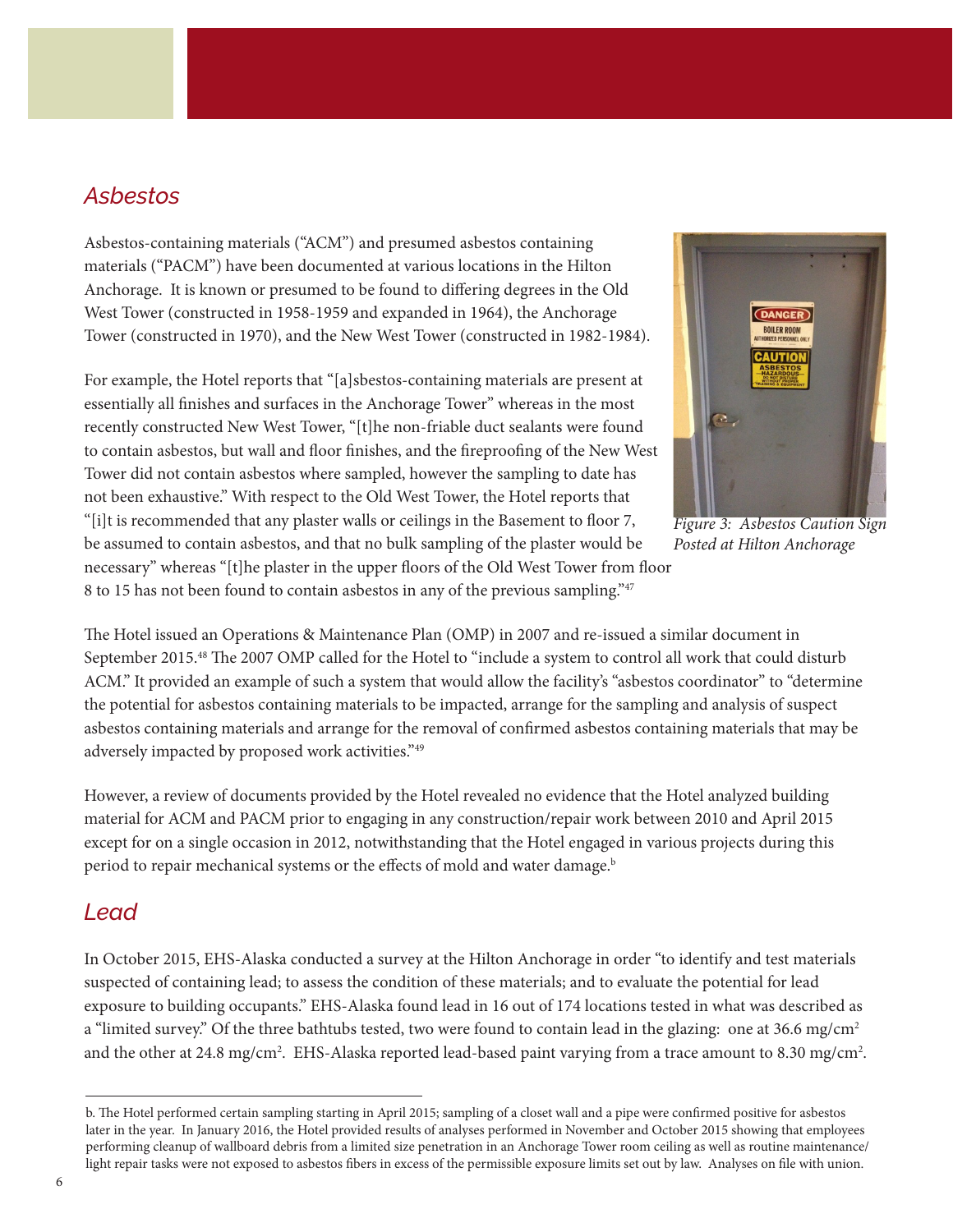#### *Asbestos*

Asbestos-containing materials ("ACM") and presumed asbestos containing materials ("PACM") have been documented at various locations in the Hilton Anchorage. It is known or presumed to be found to differing degrees in the Old West Tower (constructed in 1958-1959 and expanded in 1964), the Anchorage Tower (constructed in 1970), and the New West Tower (constructed in 1982-1984).

For example, the Hotel reports that "[a]sbestos-containing materials are present at essentially all finishes and surfaces in the Anchorage Tower" whereas in the most recently constructed New West Tower, "[t]he non-friable duct sealants were found to contain asbestos, but wall and floor finishes, and the fireproofing of the New West Tower did not contain asbestos where sampled, however the sampling to date has not been exhaustive." With respect to the Old West Tower, the Hotel reports that "[i]t is recommended that any plaster walls or ceilings in the Basement to floor 7, be assumed to contain asbestos, and that no bulk sampling of the plaster would be necessary" whereas "[t]he plaster in the upper floors of the Old West Tower from floor 8 to 15 has not been found to contain asbestos in any of the previous sampling."<sup>47</sup>



*Figure 3: Asbestos Caution Sign Posted at Hilton Anchorage*

The Hotel issued an Operations & Maintenance Plan (OMP) in 2007 and re-issued a similar document in September 2015.48 The 2007 OMP called for the Hotel to "include a system to control all work that could disturb ACM." It provided an example of such a system that would allow the facility's "asbestos coordinator" to "determine the potential for asbestos containing materials to be impacted, arrange for the sampling and analysis of suspect asbestos containing materials and arrange for the removal of confirmed asbestos containing materials that may be adversely impacted by proposed work activities."49

However, a review of documents provided by the Hotel revealed no evidence that the Hotel analyzed building material for ACM and PACM prior to engaging in any construction/repair work between 2010 and April 2015 except for on a single occasion in 2012, notwithstanding that the Hotel engaged in various projects during this period to repair mechanical systems or the effects of mold and water damage.<sup>b</sup>

#### *Lead*

In October 2015, EHS-Alaska conducted a survey at the Hilton Anchorage in order "to identify and test materials suspected of containing lead; to assess the condition of these materials; and to evaluate the potential for lead exposure to building occupants." EHS-Alaska found lead in 16 out of 174 locations tested in what was described as a "limited survey." Of the three bathtubs tested, two were found to contain lead in the glazing: one at 36.6 mg/cm<sup>2</sup> and the other at 24.8 mg/cm<sup>2</sup>. EHS-Alaska reported lead-based paint varying from a trace amount to 8.30 mg/cm<sup>2</sup>.

b. The Hotel performed certain sampling starting in April 2015; sampling of a closet wall and a pipe were confirmed positive for asbestos later in the year. In January 2016, the Hotel provided results of analyses performed in November and October 2015 showing that employees performing cleanup of wallboard debris from a limited size penetration in an Anchorage Tower room ceiling as well as routine maintenance/ light repair tasks were not exposed to asbestos fibers in excess of the permissible exposure limits set out by law. Analyses on file with union.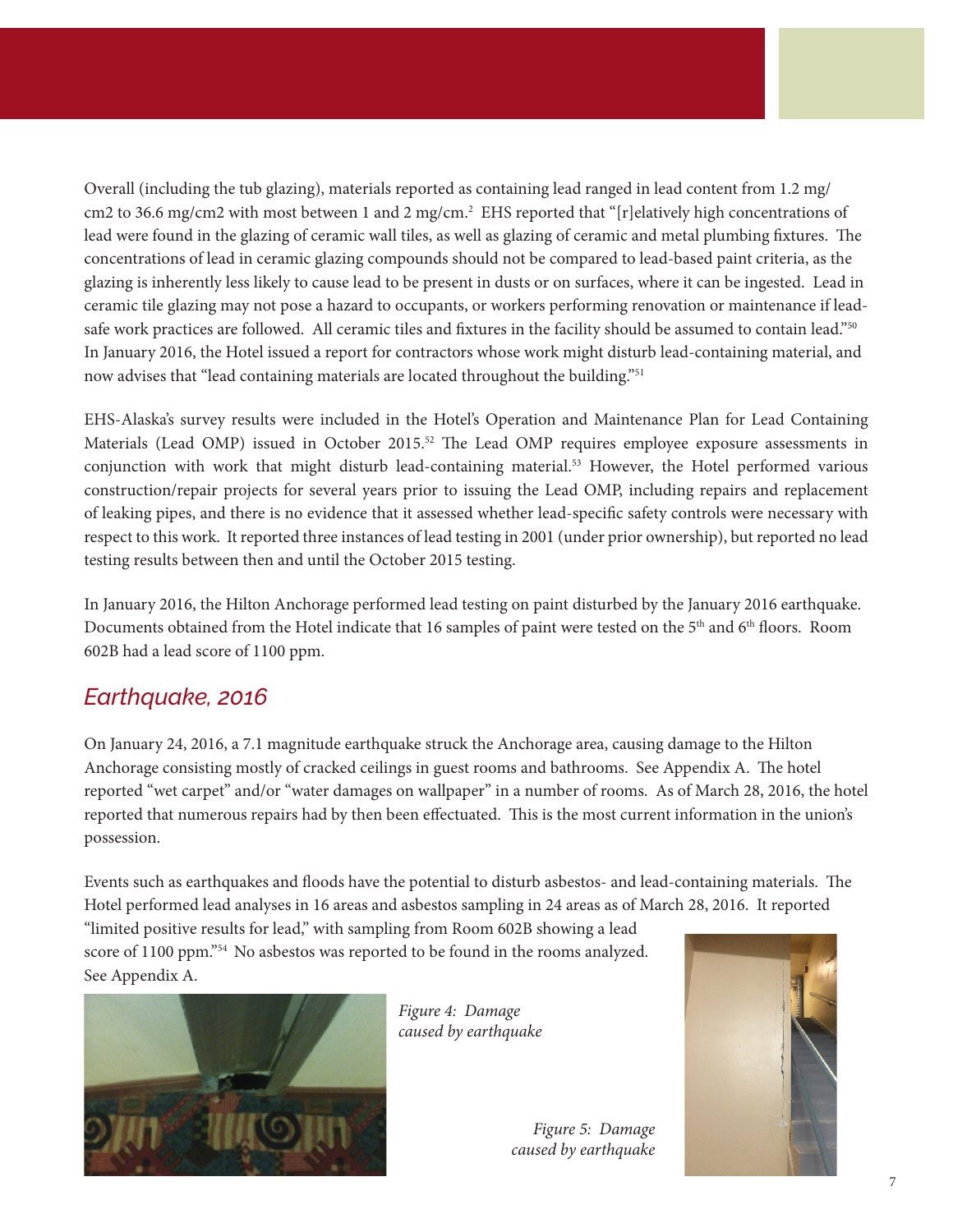Overall (including the tub glazing), materials reported as containing lead ranged in lead content from 1.2 mg/ cm2 to 36.6 mg/cm2 with most between 1 and 2 mg/cm.2 EHS reported that "[r]elatively high concentrations of lead were found in the glazing of ceramic wall tiles, as well as glazing of ceramic and metal plumbing fixtures. The concentrations of lead in ceramic glazing compounds should not be compared to lead-based paint criteria, as the glazing is inherently less likely to cause lead to be present in dusts or on surfaces, where it can be ingested. Lead in ceramic tile glazing may not pose a hazard to occupants, or workers performing renovation or maintenance if leadsafe work practices are followed. All ceramic tiles and fixtures in the facility should be assumed to contain lead."50 In January 2016, the Hotel issued a report for contractors whose work might disturb lead-containing material, and now advises that "lead containing materials are located throughout the building."51

EHS-Alaska's survey results were included in the Hotel's Operation and Maintenance Plan for Lead Containing Materials (Lead OMP) issued in October 2015.52 The Lead OMP requires employee exposure assessments in conjunction with work that might disturb lead-containing material.53 However, the Hotel performed various construction/repair projects for several years prior to issuing the Lead OMP, including repairs and replacement of leaking pipes, and there is no evidence that it assessed whether lead-specific safety controls were necessary with respect to this work. It reported three instances of lead testing in 2001 (under prior ownership), but reported no lead testing results between then and until the October 2015 testing.

In January 2016, the Hilton Anchorage performed lead testing on paint disturbed by the January 2016 earthquake. Documents obtained from the Hotel indicate that 16 samples of paint were tested on the 5th and 6th floors. Room 602B had a lead score of 1100 ppm.

#### *Earthquake, 2016*

On January 24, 2016, a 7.1 magnitude earthquake struck the Anchorage area, causing damage to the Hilton Anchorage consisting mostly of cracked ceilings in guest rooms and bathrooms. See Appendix A. The hotel reported "wet carpet" and/or "water damages on wallpaper" in a number of rooms. As of March 28, 2016, the hotel reported that numerous repairs had by then been effectuated. This is the most current information in the union's possession.

Events such as earthquakes and floods have the potential to disturb asbestos- and lead-containing materials. The Hotel performed lead analyses in 16 areas and asbestos sampling in 24 areas as of March 28, 2016. It reported

"limited positive results for lead," with sampling from Room 602B showing a lead score of 1100 ppm."54 No asbestos was reported to be found in the rooms analyzed. See Appendix A.



*Figure 4: Damage caused by earthquake*



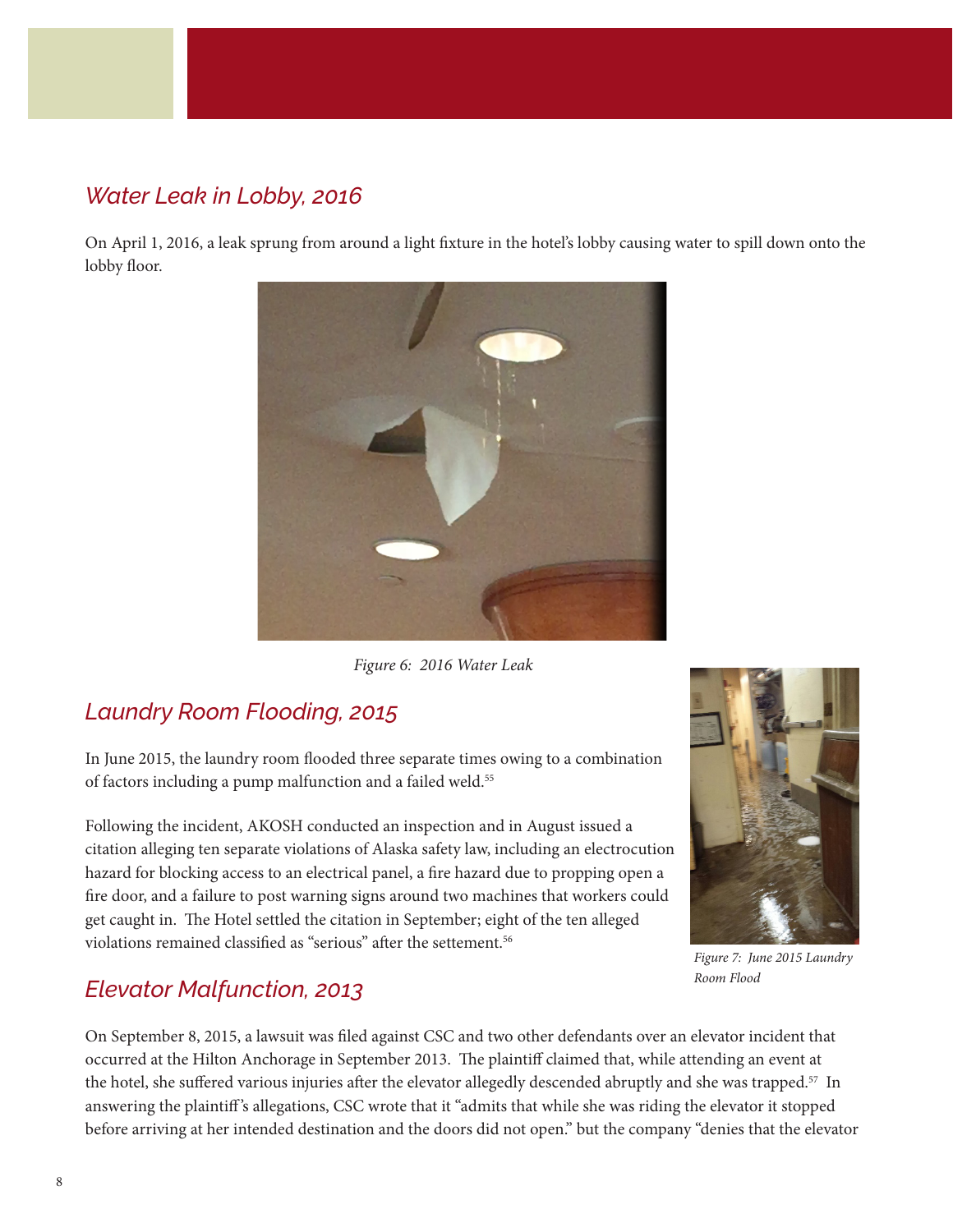#### *Water Leak in Lobby, 2016*

On April 1, 2016, a leak sprung from around a light fixture in the hotel's lobby causing water to spill down onto the lobby floor.



 *Figure 6: 2016 Water Leak*

### *Laundry Room Flooding, 2015*

In June 2015, the laundry room flooded three separate times owing to a combination of factors including a pump malfunction and a failed weld.<sup>55</sup>

Following the incident, AKOSH conducted an inspection and in August issued a citation alleging ten separate violations of Alaska safety law, including an electrocution hazard for blocking access to an electrical panel, a fire hazard due to propping open a fire door, and a failure to post warning signs around two machines that workers could get caught in. The Hotel settled the citation in September; eight of the ten alleged violations remained classified as "serious" after the settement.<sup>56</sup>

#### *Elevator Malfunction, 2013*

On September 8, 2015, a lawsuit was filed against CSC and two other defendants over an elevator incident that occurred at the Hilton Anchorage in September 2013. The plaintiff claimed that, while attending an event at the hotel, she suffered various injuries after the elevator allegedly descended abruptly and she was trapped.<sup>57</sup> In answering the plaintiff 's allegations, CSC wrote that it "admits that while she was riding the elevator it stopped before arriving at her intended destination and the doors did not open." but the company "denies that the elevator



*Figure 7: June 2015 Laundry Room Flood*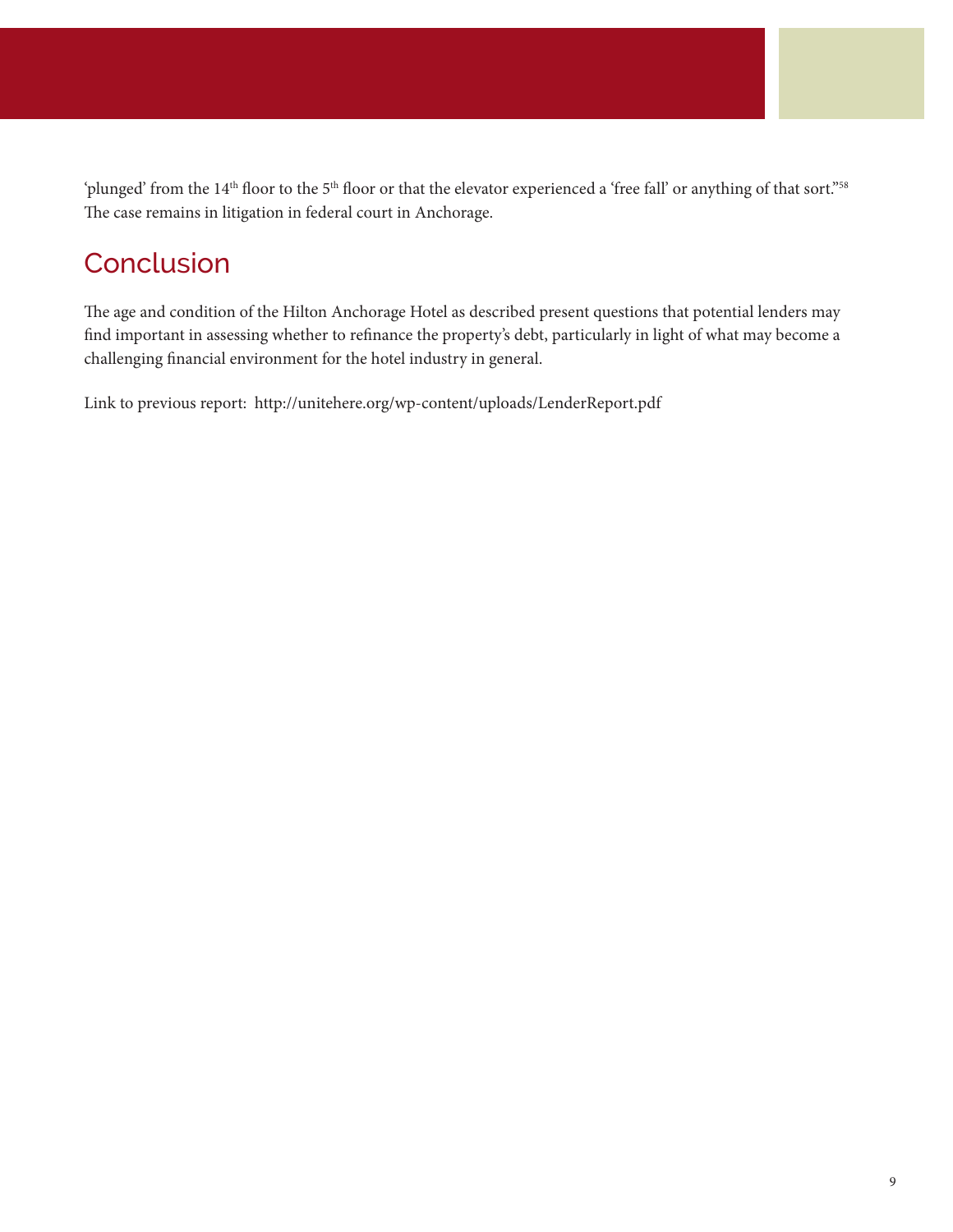'plunged' from the 14<sup>th</sup> floor to the 5<sup>th</sup> floor or that the elevator experienced a 'free fall' or anything of that sort."<sup>58</sup> The case remains in litigation in federal court in Anchorage.

# **Conclusion**

The age and condition of the Hilton Anchorage Hotel as described present questions that potential lenders may find important in assessing whether to refinance the property's debt, particularly in light of what may become a challenging financial environment for the hotel industry in general.

Link to previous report: <http://unitehere.org/wp-content/uploads/LenderReport.pdf>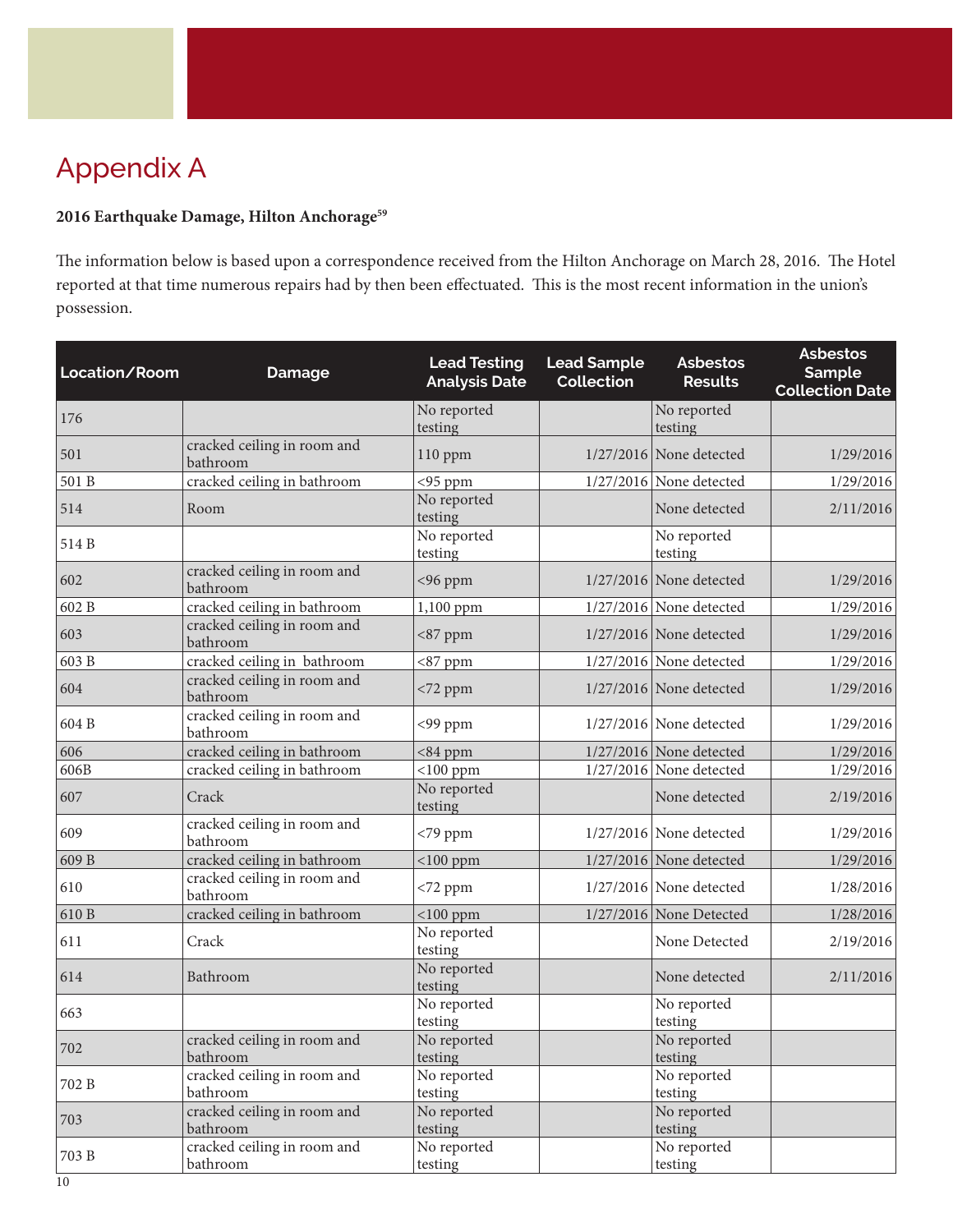# Appendix A

#### **2016 Earthquake Damage, Hilton Anchorage59**

The information below is based upon a correspondence received from the Hilton Anchorage on March 28, 2016. The Hotel reported at that time numerous repairs had by then been effectuated. This is the most recent information in the union's possession.

| Location/Room | <b>Damage</b>                           | <b>Lead Testing</b><br><b>Analysis Date</b> | <b>Lead Sample</b><br><b>Collection</b> | <b>Asbestos</b><br><b>Results</b> | <b>Asbestos</b><br>Sample<br><b>Collection Date</b> |
|---------------|-----------------------------------------|---------------------------------------------|-----------------------------------------|-----------------------------------|-----------------------------------------------------|
| 176           |                                         | No reported<br>testing                      |                                         | No reported<br>testing            |                                                     |
| 501           | cracked ceiling in room and<br>bathroom | 110 ppm                                     |                                         | $1/27/2016$ None detected         | 1/29/2016                                           |
| 501 B         | cracked ceiling in bathroom             | $<$ 95 ppm                                  |                                         | $1/27/2016$ None detected         | 1/29/2016                                           |
| 514           | Room                                    | No reported<br>testing                      |                                         | None detected                     | 2/11/2016                                           |
| 514 B         |                                         | No reported<br>testing                      |                                         | No reported<br>testing            |                                                     |
| 602           | cracked ceiling in room and<br>bathroom | <96 ppm                                     |                                         | $1/27/2016$ None detected         | 1/29/2016                                           |
| 602 B         | cracked ceiling in bathroom             | 1,100 ppm                                   |                                         | $1/27/2016$ None detected         | 1/29/2016                                           |
| 603           | cracked ceiling in room and<br>bathroom | $<87$ ppm                                   |                                         | $1/27/2016$ None detected         | 1/29/2016                                           |
| 603 B         | cracked ceiling in bathroom             | $<87$ ppm                                   |                                         | $1/27/2016$ None detected         | 1/29/2016                                           |
| 604           | cracked ceiling in room and<br>bathroom | <72 ppm                                     |                                         | $1/27/2016$ None detected         | 1/29/2016                                           |
| 604 B         | cracked ceiling in room and<br>bathroom | <99 ppm                                     |                                         | $1/27/2016$ None detected         | 1/29/2016                                           |
| 606           | cracked ceiling in bathroom             | $<$ 84 ppm                                  |                                         | $1/27/2016$ None detected         | 1/29/2016                                           |
| 606B          | cracked ceiling in bathroom             | $<$ 100 ppm                                 |                                         | $1/27/2016$ None detected         | 1/29/2016                                           |
| 607           | Crack                                   | No reported<br>testing                      |                                         | None detected                     | 2/19/2016                                           |
| 609           | cracked ceiling in room and<br>bathroom | $<$ 79 ppm                                  |                                         | $1/27/2016$ None detected         | 1/29/2016                                           |
| 609 B         | cracked ceiling in bathroom             | $<$ 100 ppm                                 |                                         | 1/27/2016 None detected           | 1/29/2016                                           |
| 610           | cracked ceiling in room and<br>bathroom | $< 72$ ppm                                  |                                         | 1/27/2016 None detected           | 1/28/2016                                           |
| 610 B         | cracked ceiling in bathroom             | $<$ 100 ppm                                 |                                         | $1/27/2016$ None Detected         | 1/28/2016                                           |
| 611           | Crack                                   | No reported<br>testing                      |                                         | None Detected                     | 2/19/2016                                           |
| 614           | Bathroom                                | No reported<br>testing                      |                                         | None detected                     | 2/11/2016                                           |
| 663           |                                         | No reported<br>testing                      |                                         | No reported<br>testing            |                                                     |
| 702           | cracked ceiling in room and<br>bathroom | No reported<br>testing                      |                                         | No reported<br>testing            |                                                     |
| 702 B         | cracked ceiling in room and<br>bathroom | No reported<br>testing                      |                                         | No reported<br>testing            |                                                     |
| 703           | cracked ceiling in room and<br>bathroom | No reported<br>testing                      |                                         | No reported<br>testing            |                                                     |
| 703 B         | cracked ceiling in room and<br>bathroom | No reported<br>testing                      |                                         | No reported<br>testing            |                                                     |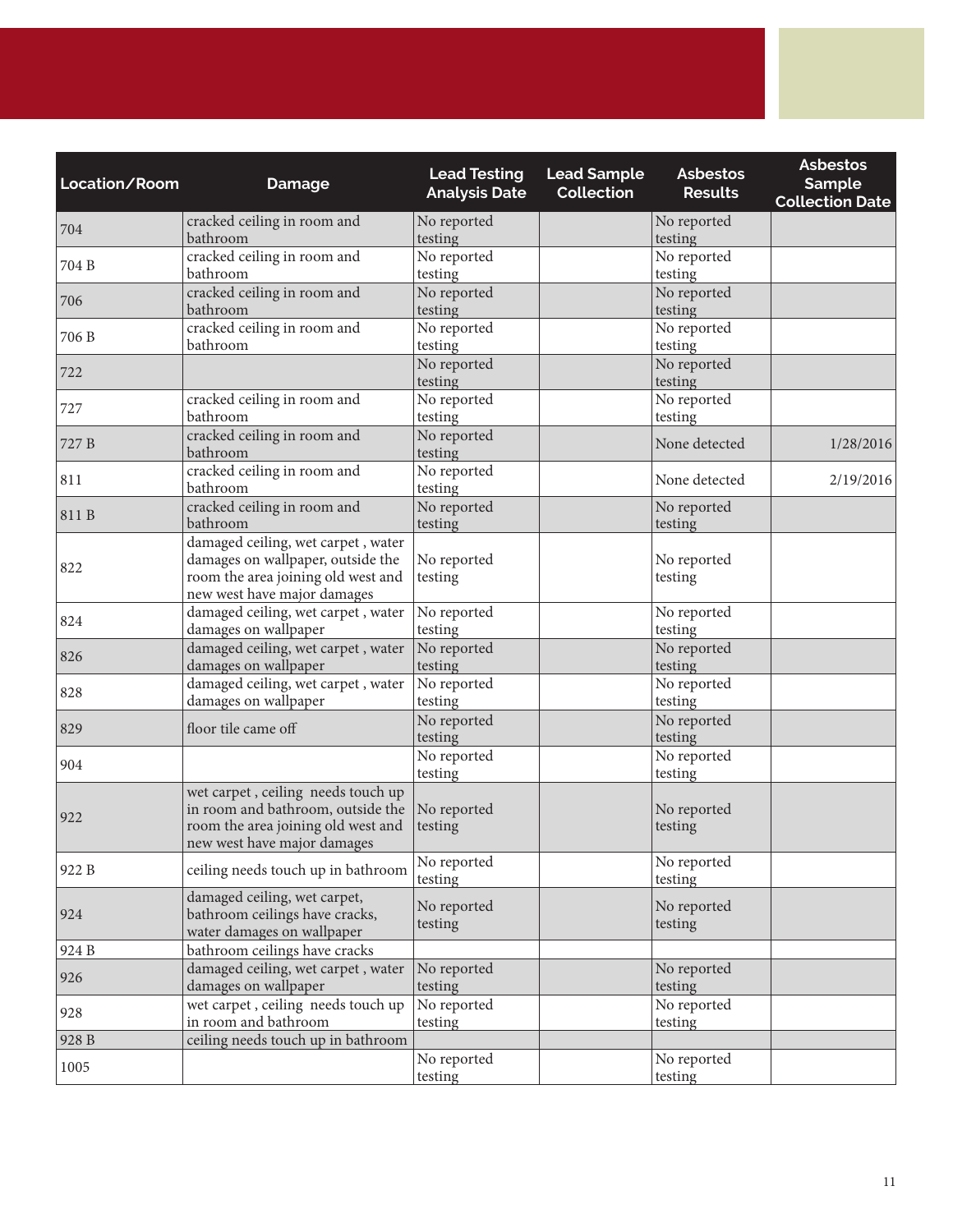| Location/Room | <b>Damage</b>                                                                                                                                | <b>Lead Testing</b><br><b>Analysis Date</b> | <b>Lead Sample</b><br><b>Collection</b> | <b>Asbestos</b><br><b>Results</b> | <b>Asbestos</b><br>Sample<br><b>Collection Date</b> |
|---------------|----------------------------------------------------------------------------------------------------------------------------------------------|---------------------------------------------|-----------------------------------------|-----------------------------------|-----------------------------------------------------|
| 704           | cracked ceiling in room and<br>bathroom                                                                                                      | No reported<br>testing                      |                                         | No reported<br>testing            |                                                     |
| 704 B         | cracked ceiling in room and<br>bathroom                                                                                                      | No reported<br>testing                      |                                         | No reported<br>testing            |                                                     |
| 706           | cracked ceiling in room and<br>bathroom                                                                                                      | No reported<br>testing                      |                                         | No reported<br>testing            |                                                     |
| 706 B         | cracked ceiling in room and<br>bathroom                                                                                                      | No reported<br>testing                      |                                         | No reported<br>testing            |                                                     |
| 722           |                                                                                                                                              | No reported<br>testing                      |                                         | No reported<br>testing            |                                                     |
| 727           | cracked ceiling in room and<br>bathroom                                                                                                      | No reported<br>testing                      |                                         | No reported<br>testing            |                                                     |
| 727 B         | cracked ceiling in room and<br>bathroom                                                                                                      | No reported<br>testing                      |                                         | None detected                     | 1/28/2016                                           |
| 811           | cracked ceiling in room and<br>bathroom                                                                                                      | No reported<br>testing                      |                                         | None detected                     | 2/19/2016                                           |
| 811 B         | cracked ceiling in room and<br>bathroom                                                                                                      | No reported<br>testing                      |                                         | No reported<br>testing            |                                                     |
| 822           | damaged ceiling, wet carpet, water<br>damages on wallpaper, outside the<br>room the area joining old west and<br>new west have major damages | No reported<br>testing                      |                                         | No reported<br>testing            |                                                     |
| 824           | damaged ceiling, wet carpet, water<br>damages on wallpaper                                                                                   | No reported<br>testing                      |                                         | No reported<br>testing            |                                                     |
| 826           | damaged ceiling, wet carpet, water<br>damages on wallpaper                                                                                   | No reported<br>testing                      |                                         | No reported<br>testing            |                                                     |
| 828           | damaged ceiling, wet carpet, water<br>damages on wallpaper                                                                                   | No reported<br>testing                      |                                         | No reported<br>testing            |                                                     |
| 829           | floor tile came off                                                                                                                          | No reported<br>testing                      |                                         | No reported<br>testing            |                                                     |
| 904           |                                                                                                                                              | No reported<br>testing                      |                                         | No reported<br>testing            |                                                     |
| 922           | wet carpet, ceiling needs touch up<br>in room and bathroom, outside the<br>room the area joining old west and<br>new west have major damages | No reported<br>testing                      |                                         | No reported<br>testing            |                                                     |
| 922 B         | ceiling needs touch up in bathroom                                                                                                           | No reported<br>testing                      |                                         | No reported<br>testing            |                                                     |
| 924           | damaged ceiling, wet carpet,<br>bathroom ceilings have cracks,<br>water damages on wallpaper                                                 | No reported<br>testing                      |                                         | No reported<br>testing            |                                                     |
| 924 B         | bathroom ceilings have cracks                                                                                                                |                                             |                                         |                                   |                                                     |
| 926           | damaged ceiling, wet carpet, water<br>damages on wallpaper                                                                                   | No reported<br>testing                      |                                         | No reported<br>testing            |                                                     |
| 928           | wet carpet, ceiling needs touch up<br>in room and bathroom                                                                                   | No reported<br>testing                      |                                         | No reported<br>testing            |                                                     |
| 928 B         | ceiling needs touch up in bathroom                                                                                                           |                                             |                                         |                                   |                                                     |
| 1005          |                                                                                                                                              | No reported<br>testing                      |                                         | No reported<br>testing            |                                                     |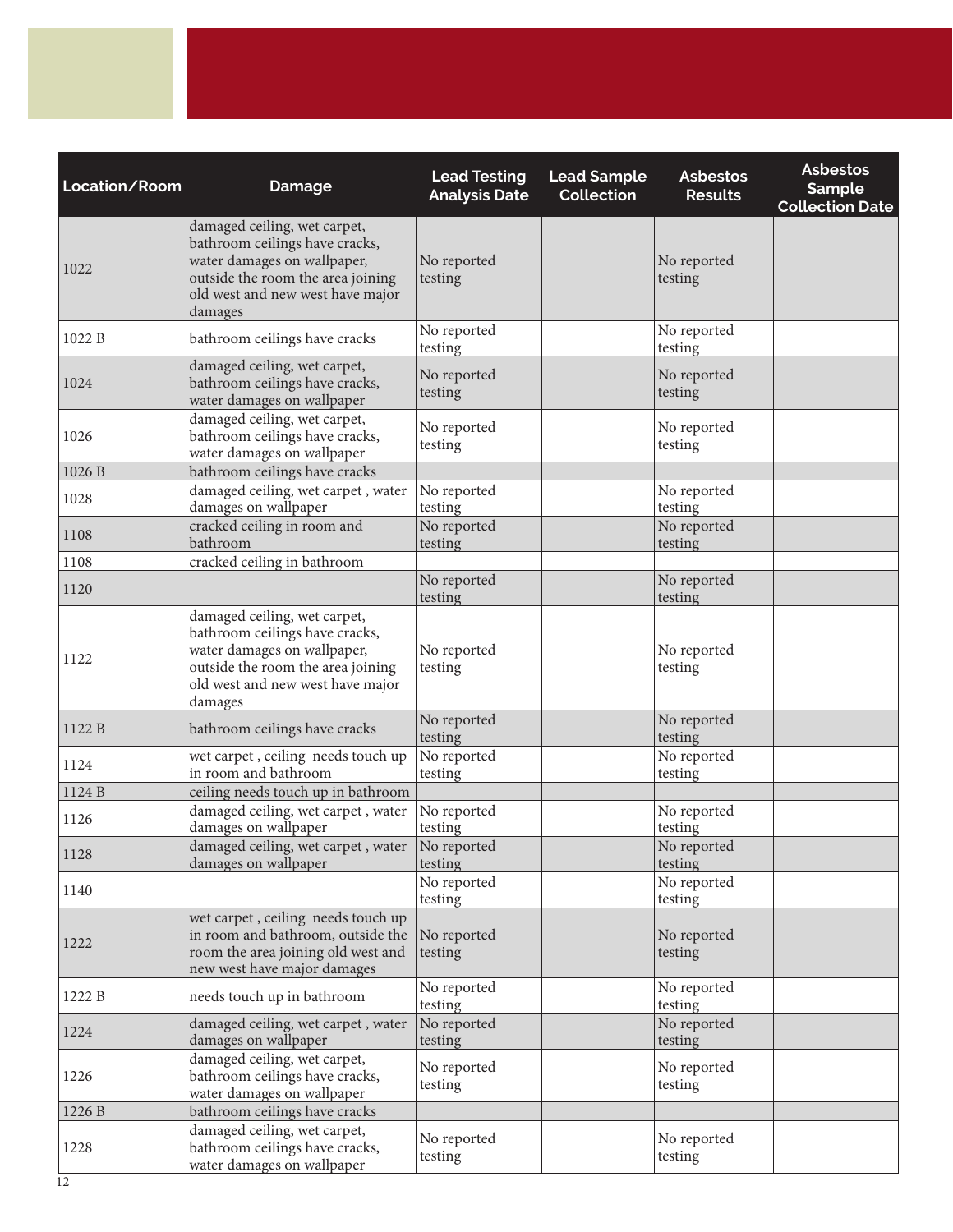| Location/Room | <b>Damage</b>                                                                                                                                                                     | <b>Lead Testing</b><br><b>Analysis Date</b> | <b>Lead Sample</b><br><b>Collection</b> | <b>Asbestos</b><br><b>Results</b> | <b>Asbestos</b><br><b>Sample</b><br><b>Collection Date</b> |
|---------------|-----------------------------------------------------------------------------------------------------------------------------------------------------------------------------------|---------------------------------------------|-----------------------------------------|-----------------------------------|------------------------------------------------------------|
| 1022          | damaged ceiling, wet carpet,<br>bathroom ceilings have cracks,<br>water damages on wallpaper,<br>outside the room the area joining<br>old west and new west have major<br>damages | No reported<br>testing                      |                                         | No reported<br>testing            |                                                            |
| 1022 B        | bathroom ceilings have cracks                                                                                                                                                     | No reported<br>testing                      |                                         | No reported<br>testing            |                                                            |
| 1024          | damaged ceiling, wet carpet,<br>bathroom ceilings have cracks,<br>water damages on wallpaper                                                                                      | No reported<br>testing                      |                                         | No reported<br>testing            |                                                            |
| 1026          | damaged ceiling, wet carpet,<br>bathroom ceilings have cracks,<br>water damages on wallpaper                                                                                      | No reported<br>testing                      |                                         | No reported<br>testing            |                                                            |
| 1026 B        | bathroom ceilings have cracks                                                                                                                                                     |                                             |                                         |                                   |                                                            |
| 1028          | damaged ceiling, wet carpet, water<br>damages on wallpaper                                                                                                                        | No reported<br>testing                      |                                         | No reported<br>testing            |                                                            |
| 1108          | cracked ceiling in room and<br>bathroom                                                                                                                                           | No reported<br>testing                      |                                         | No reported<br>testing            |                                                            |
| 1108          | cracked ceiling in bathroom                                                                                                                                                       |                                             |                                         |                                   |                                                            |
| 1120          |                                                                                                                                                                                   | No reported<br>testing                      |                                         | No reported<br>testing            |                                                            |
| 1122          | damaged ceiling, wet carpet,<br>bathroom ceilings have cracks,<br>water damages on wallpaper,<br>outside the room the area joining<br>old west and new west have major<br>damages | No reported<br>testing                      |                                         | No reported<br>testing            |                                                            |
| 1122 B        | bathroom ceilings have cracks                                                                                                                                                     | No reported<br>testing                      |                                         | No reported<br>testing            |                                                            |
| 1124          | wet carpet, ceiling needs touch up<br>in room and bathroom                                                                                                                        | No reported<br>testing                      |                                         | No reported<br>testing            |                                                            |
| 1124 B        | ceiling needs touch up in bathroom                                                                                                                                                |                                             |                                         |                                   |                                                            |
| 1126          | damaged ceiling, wet carpet, water<br>damages on wallpaper                                                                                                                        | No reported<br>testing                      |                                         | No reported<br>testing            |                                                            |
| 1128          | damaged ceiling, wet carpet, water<br>damages on wallpaper                                                                                                                        | No reported<br>testing                      |                                         | No reported<br>testing            |                                                            |
| 1140          |                                                                                                                                                                                   | No reported<br>testing                      |                                         | No reported<br>testing            |                                                            |
| 1222          | wet carpet, ceiling needs touch up<br>in room and bathroom, outside the<br>room the area joining old west and<br>new west have major damages                                      | No reported<br>testing                      |                                         | No reported<br>testing            |                                                            |
| 1222 B        | needs touch up in bathroom                                                                                                                                                        | No reported<br>testing                      |                                         | No reported<br>testing            |                                                            |
| 1224          | damaged ceiling, wet carpet, water<br>damages on wallpaper                                                                                                                        | No reported<br>testing                      |                                         | No reported<br>testing            |                                                            |
| 1226          | damaged ceiling, wet carpet,<br>bathroom ceilings have cracks,<br>water damages on wallpaper                                                                                      | No reported<br>testing                      |                                         | No reported<br>testing            |                                                            |
| 1226 B        | bathroom ceilings have cracks                                                                                                                                                     |                                             |                                         |                                   |                                                            |
| 1228          | damaged ceiling, wet carpet,<br>bathroom ceilings have cracks,<br>water damages on wallpaper                                                                                      | No reported<br>testing                      |                                         | No reported<br>testing            |                                                            |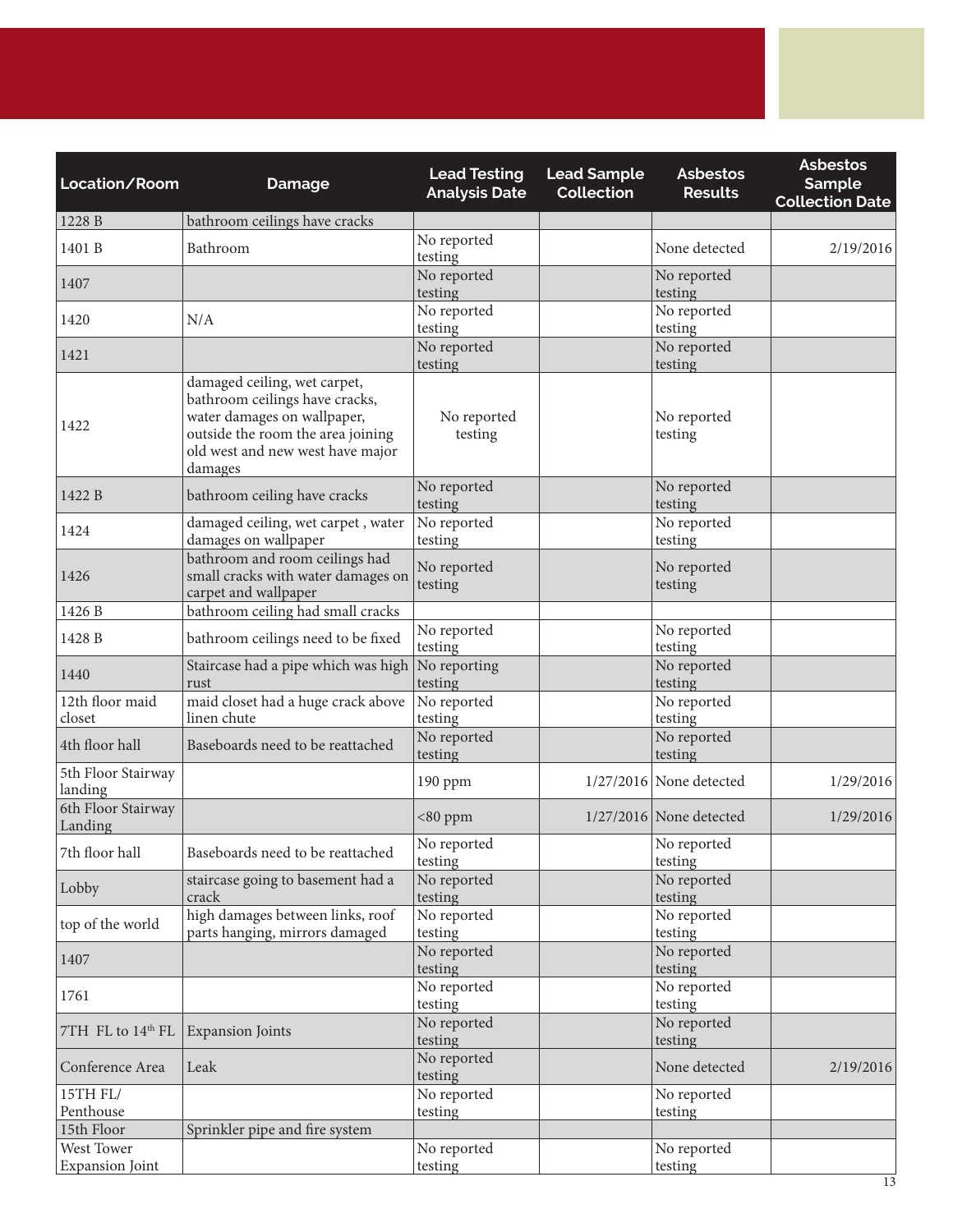| Location/Room                 | <b>Damage</b>                                                                                                                                                                     | <b>Lead Testing</b><br><b>Analysis Date</b> | <b>Lead Sample</b><br><b>Collection</b> | <b>Asbestos</b><br><b>Results</b> | <b>Asbestos</b><br><b>Sample</b><br><b>Collection Date</b> |
|-------------------------------|-----------------------------------------------------------------------------------------------------------------------------------------------------------------------------------|---------------------------------------------|-----------------------------------------|-----------------------------------|------------------------------------------------------------|
| 1228 B                        | bathroom ceilings have cracks                                                                                                                                                     |                                             |                                         |                                   |                                                            |
| 1401 B                        | Bathroom                                                                                                                                                                          | No reported<br>testing                      |                                         | None detected                     | 2/19/2016                                                  |
| 1407                          |                                                                                                                                                                                   | No reported<br>testing                      |                                         | No reported<br>testing            |                                                            |
| 1420                          | N/A                                                                                                                                                                               | No reported<br>testing                      |                                         | No reported<br>testing            |                                                            |
| 1421                          |                                                                                                                                                                                   | No reported<br>testing                      |                                         | No reported<br>testing            |                                                            |
| 1422                          | damaged ceiling, wet carpet,<br>bathroom ceilings have cracks,<br>water damages on wallpaper,<br>outside the room the area joining<br>old west and new west have major<br>damages | No reported<br>testing                      |                                         | No reported<br>testing            |                                                            |
| 1422 B                        | bathroom ceiling have cracks                                                                                                                                                      | No reported<br>testing                      |                                         | No reported<br>testing            |                                                            |
| 1424                          | damaged ceiling, wet carpet, water<br>damages on wallpaper                                                                                                                        | No reported<br>testing                      |                                         | No reported<br>testing            |                                                            |
| 1426                          | bathroom and room ceilings had<br>small cracks with water damages on<br>carpet and wallpaper                                                                                      | No reported<br>testing                      |                                         | No reported<br>testing            |                                                            |
| 1426 B                        | bathroom ceiling had small cracks                                                                                                                                                 |                                             |                                         |                                   |                                                            |
| 1428 B                        | bathroom ceilings need to be fixed                                                                                                                                                | No reported<br>testing                      |                                         | No reported<br>testing            |                                                            |
| 1440                          | Staircase had a pipe which was high<br>rust                                                                                                                                       | No reporting<br>testing                     |                                         | No reported<br>testing            |                                                            |
| 12th floor maid<br>closet     | maid closet had a huge crack above<br>linen chute                                                                                                                                 | No reported<br>testing                      |                                         | No reported<br>testing            |                                                            |
| 4th floor hall                | Baseboards need to be reattached                                                                                                                                                  | No reported<br>testing                      |                                         | No reported<br>testing            |                                                            |
| 5th Floor Stairway<br>landing |                                                                                                                                                                                   | $190$ ppm                                   |                                         | $1/27/2016$ None detected         | 1/29/2016                                                  |
| 6th Floor Stairway<br>Landing |                                                                                                                                                                                   | $<$ 80 ppm                                  |                                         | $1/27/2016$ None detected         | 1/29/2016                                                  |
| 7th floor hall                | Baseboards need to be reattached                                                                                                                                                  | No reported<br>testing                      |                                         | No reported<br>testing            |                                                            |
| Lobby                         | staircase going to basement had a<br>crack                                                                                                                                        | No reported<br>testing                      |                                         | No reported<br>testing            |                                                            |
| top of the world              | high damages between links, roof<br>parts hanging, mirrors damaged                                                                                                                | No reported<br>testing                      |                                         | No reported<br>testing            |                                                            |
| 1407                          |                                                                                                                                                                                   | No reported<br>testing                      |                                         | No reported<br>testing            |                                                            |
| 1761                          |                                                                                                                                                                                   | No reported<br>testing                      |                                         | No reported<br>testing            |                                                            |
| 7TH FL to 14th FL             | <b>Expansion Joints</b>                                                                                                                                                           | No reported<br>testing                      |                                         | No reported<br>testing            |                                                            |
| Conference Area               | Leak                                                                                                                                                                              | No reported<br>testing                      |                                         | None detected                     | 2/19/2016                                                  |
| 15TH FL/                      |                                                                                                                                                                                   | No reported                                 |                                         | No reported                       |                                                            |
| Penthouse                     |                                                                                                                                                                                   | testing                                     |                                         | testing                           |                                                            |
| 15th Floor                    | Sprinkler pipe and fire system                                                                                                                                                    |                                             |                                         |                                   |                                                            |
| West Tower                    |                                                                                                                                                                                   | No reported                                 |                                         | No reported                       |                                                            |
| <b>Expansion Joint</b>        |                                                                                                                                                                                   | testing                                     |                                         | testing                           |                                                            |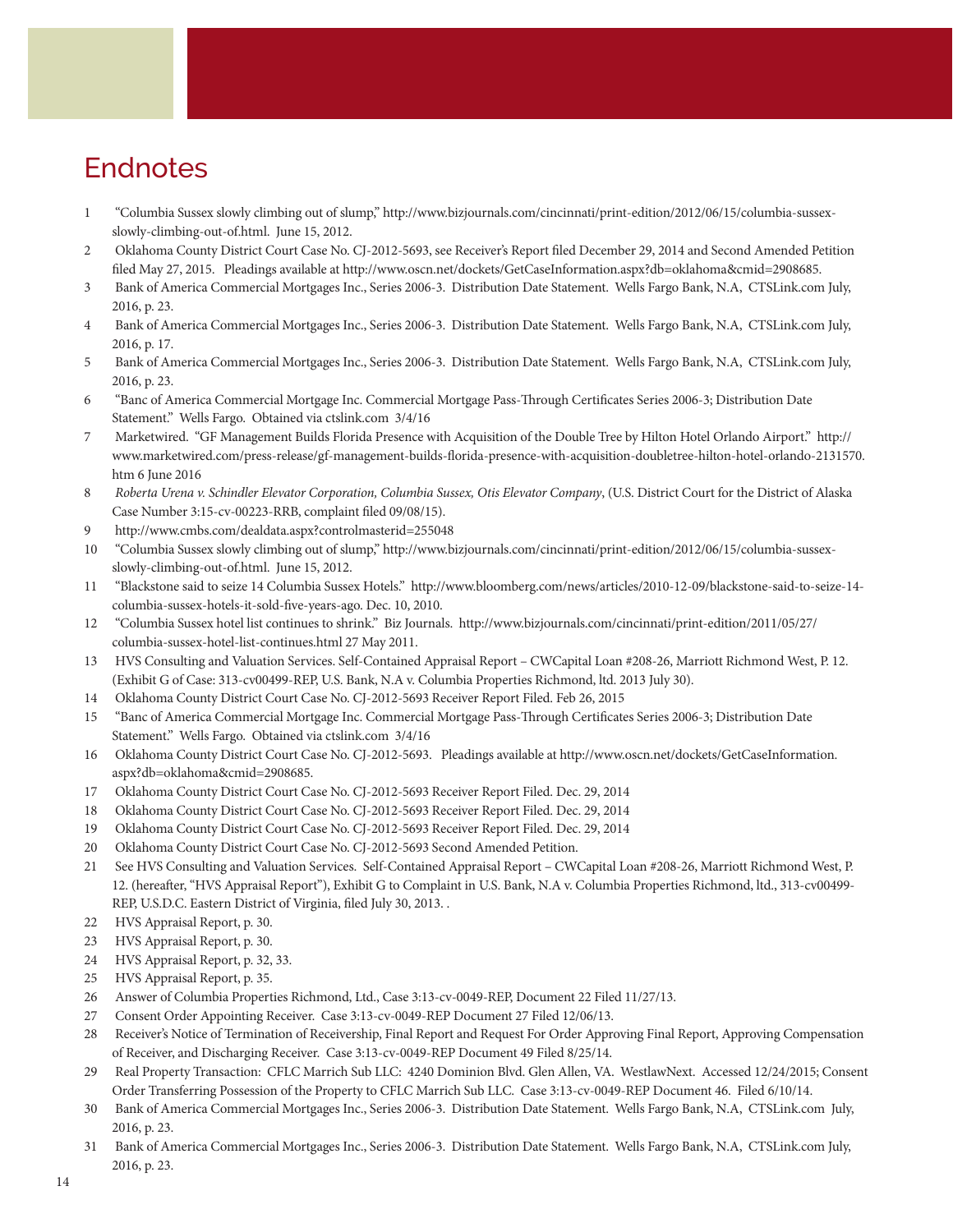# **Endnotes**

- 1 "Columbia Sussex slowly climbing out of slump," [http://www.bizjournals.com/cincinnati/print-edition/2012/06/15/columbia-sussex](http://www.bizjournals.com/cincinnati/print-edition/2012/06/15/columbia-sussex-slowly-climbing-out-of.html)[slowly-climbing-out-of.html.](http://www.bizjournals.com/cincinnati/print-edition/2012/06/15/columbia-sussex-slowly-climbing-out-of.html) June 15, 2012.
- 2 Oklahoma County District Court Case No. CJ-2012-5693, see Receiver's Report filed December 29, 2014 and Second Amended Petition filed May 27, 2015. Pleadings available at http://www.oscn.net/dockets/GetCaseInformation.aspx?db=oklahoma&cmid=2908685.
- 3 Bank of America Commercial Mortgages Inc., Series 2006-3. Distribution Date Statement. Wells Fargo Bank, N.A, CTSLink.com July, 2016, p. 23.
- 4 Bank of America Commercial Mortgages Inc., Series 2006-3. Distribution Date Statement. Wells Fargo Bank, N.A, CTSLink.com July, 2016, p. 17.
- 5 Bank of America Commercial Mortgages Inc., Series 2006-3. Distribution Date Statement. Wells Fargo Bank, N.A, CTSLink.com July, 2016, p. 23.
- 6 "Banc of America Commercial Mortgage Inc. Commercial Mortgage Pass-Through Certificates Series 2006-3; Distribution Date Statement." Wells Fargo. Obtained via ctslink.com 3/4/16
- 7 Marketwired. "GF Management Builds Florida Presence with Acquisition of the Double Tree by Hilton Hotel Orlando Airport." [http://](http://www.marketwired.com/press-release/gf-management-builds-florida-presence-with-acquisition-doubletree-hilton-hotel-orlando-2131570.htm) [www.marketwired.com/press-release/gf-management-builds-florida-presence-with-acquisition-doubletree-hilton-hotel-orlando-2131570.](http://www.marketwired.com/press-release/gf-management-builds-florida-presence-with-acquisition-doubletree-hilton-hotel-orlando-2131570.htm) [htm](http://www.marketwired.com/press-release/gf-management-builds-florida-presence-with-acquisition-doubletree-hilton-hotel-orlando-2131570.htm) 6 June 2016
- 8 *Roberta Urena v. Schindler Elevator Corporation, Columbia Sussex, Otis Elevator Company*, (U.S. District Court for the District of Alaska Case Number 3:15-cv-00223-RRB, complaint filed 09/08/15).
- 9 http://www.cmbs.com/dealdata.aspx?controlmasterid=255048
- 10 "Columbia Sussex slowly climbing out of slump," [http://www.bizjournals.com/cincinnati/print-edition/2012/06/15/columbia-sussex](http://www.bizjournals.com/cincinnati/print-edition/2012/06/15/columbia-sussex-slowly-climbing-out-of.html)[slowly-climbing-out-of.html.](http://www.bizjournals.com/cincinnati/print-edition/2012/06/15/columbia-sussex-slowly-climbing-out-of.html) June 15, 2012.
- 11 "Blackstone said to seize 14 Columbia Sussex Hotels." [http://www.bloomberg.com/news/articles/2010-12-09/blackstone-said-to-seize-14](http://www.bloomberg.com/news/articles/2010-12-09/blackstone-said-to-seize-14-columbia-sussex-hotels-it-sold-five-years-ago) [columbia-sussex-hotels-it-sold-five-years-ago](http://www.bloomberg.com/news/articles/2010-12-09/blackstone-said-to-seize-14-columbia-sussex-hotels-it-sold-five-years-ago). Dec. 10, 2010.
- 12 "Columbia Sussex hotel list continues to shrink." Biz Journals. [http://www.bizjournals.com/cincinnati/print-edition/2011/05/27/](http://www.bizjournals.com/cincinnati/print-edition/2011/05/27/columbia-sussex-hotel-list-continues.html) [columbia-sussex-hotel-list-continues.html](http://www.bizjournals.com/cincinnati/print-edition/2011/05/27/columbia-sussex-hotel-list-continues.html) 27 May 2011.
- 13 HVS Consulting and Valuation Services. Self-Contained Appraisal Report CWCapital Loan #208-26, Marriott Richmond West, P. 12. (Exhibit G of Case: 313-cv00499-REP, U.S. Bank, N.A v. Columbia Properties Richmond, ltd. 2013 July 30).
- 14 Oklahoma County District Court Case No. CJ-2012-5693 Receiver Report Filed. Feb 26, 2015
- 15 "Banc of America Commercial Mortgage Inc. Commercial Mortgage Pass-Through Certificates Series 2006-3; Distribution Date Statement." Wells Fargo. Obtained via ctslink.com 3/4/16
- 16 Oklahoma County District Court Case No. CJ-2012-5693. Pleadings available at http://www.oscn.net/dockets/GetCaseInformation. aspx?db=oklahoma&cmid=2908685.
- 17 Oklahoma County District Court Case No. CJ-2012-5693 Receiver Report Filed. Dec. 29, 2014
- 18 Oklahoma County District Court Case No. CJ-2012-5693 Receiver Report Filed. Dec. 29, 2014
- 19 Oklahoma County District Court Case No. CJ-2012-5693 Receiver Report Filed. Dec. 29, 2014
- 20 Oklahoma County District Court Case No. CJ-2012-5693 Second Amended Petition.
- 21 See HVS Consulting and Valuation Services. Self-Contained Appraisal Report CWCapital Loan #208-26, Marriott Richmond West, P. 12. (hereafter, "HVS Appraisal Report"), Exhibit G to Complaint in U.S. Bank, N.A v. Columbia Properties Richmond, ltd., 313-cv00499- REP, U.S.D.C. Eastern District of Virginia, filed July 30, 2013. .
- 22 HVS Appraisal Report, p. 30.
- 23 HVS Appraisal Report, p. 30.
- 24 HVS Appraisal Report, p. 32, 33.
- 25 HVS Appraisal Report, p. 35.
- 26 Answer of Columbia Properties Richmond, Ltd., Case 3:13-cv-0049-REP, Document 22 Filed 11/27/13.
- 27 Consent Order Appointing Receiver. Case 3:13-cv-0049-REP Document 27 Filed 12/06/13.
- 28 Receiver's Notice of Termination of Receivership, Final Report and Request For Order Approving Final Report, Approving Compensation of Receiver, and Discharging Receiver. Case 3:13-cv-0049-REP Document 49 Filed 8/25/14.
- 29 Real Property Transaction: CFLC Marrich Sub LLC: 4240 Dominion Blvd. Glen Allen, VA. WestlawNext. Accessed 12/24/2015; Consent Order Transferring Possession of the Property to CFLC Marrich Sub LLC. Case 3:13-cv-0049-REP Document 46. Filed 6/10/14.
- 30 Bank of America Commercial Mortgages Inc., Series 2006-3. Distribution Date Statement. Wells Fargo Bank, N.A, CTSLink.com July, 2016, p. 23.
- 31 Bank of America Commercial Mortgages Inc., Series 2006-3. Distribution Date Statement. Wells Fargo Bank, N.A, CTSLink.com July, 2016, p. 23.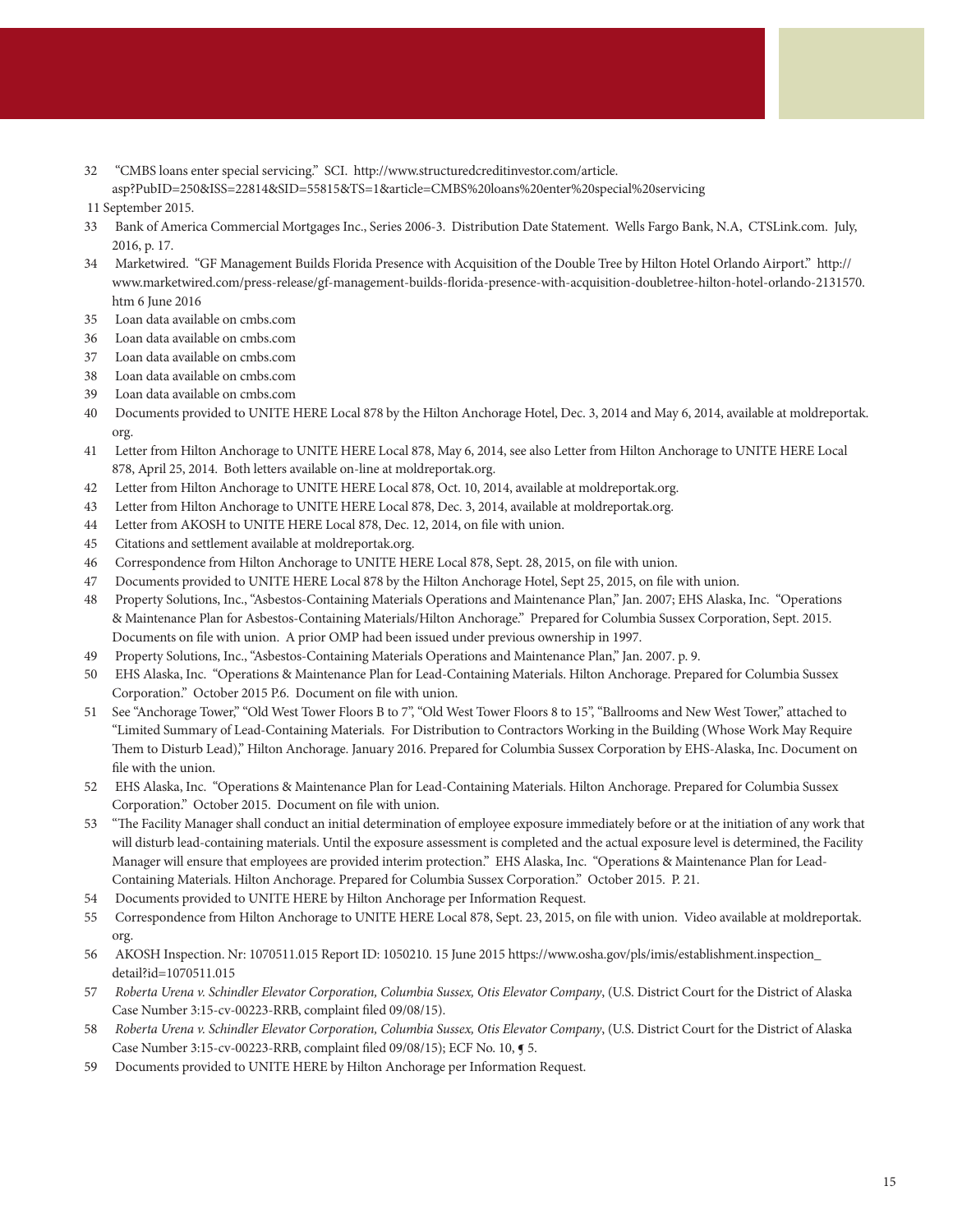32 "CMBS loans enter special servicing." SCI. [http://www.structuredcreditinvestor.com/article.](http://www.structuredcreditinvestor.com/article.asp?PubID=250&ISS=22814&SID=55815&TS=1&article=CMBS loans enter special servicing) [asp?PubID=250&ISS=22814&SID=55815&TS=1&article=CMBS%20loans%20enter%20special%20servicing](http://www.structuredcreditinvestor.com/article.asp?PubID=250&ISS=22814&SID=55815&TS=1&article=CMBS loans enter special servicing)

11 September 2015.

- 33 Bank of America Commercial Mortgages Inc., Series 2006-3. Distribution Date Statement. Wells Fargo Bank, N.A, CTSLink.com. July, 2016, p. 17.
- 34 Marketwired. "GF Management Builds Florida Presence with Acquisition of the Double Tree by Hilton Hotel Orlando Airport." [http://](http://www.marketwired.com/press-release/gf-management-builds-florida-presence-with-acquisition-doubletree-hilton-hotel-orlando-2131570.htm) [www.marketwired.com/press-release/gf-management-builds-florida-presence-with-acquisition-doubletree-hilton-hotel-orlando-2131570.](http://www.marketwired.com/press-release/gf-management-builds-florida-presence-with-acquisition-doubletree-hilton-hotel-orlando-2131570.htm) [htm](http://www.marketwired.com/press-release/gf-management-builds-florida-presence-with-acquisition-doubletree-hilton-hotel-orlando-2131570.htm) 6 June 2016
- 35 Loan data available on cmbs.com
- 36 Loan data available on cmbs.com
- 37 Loan data available on cmbs.com
- 38 Loan data available on cmbs.com
- 39 Loan data available on cmbs.com
- 40 Documents provided to UNITE HERE Local 878 by the Hilton Anchorage Hotel, Dec. 3, 2014 and May 6, 2014, available at moldreportak. org.
- 41 Letter from Hilton Anchorage to UNITE HERE Local 878, May 6, 2014, see also Letter from Hilton Anchorage to UNITE HERE Local 878, April 25, 2014. Both letters available on-line at moldreportak.org.
- 42 Letter from Hilton Anchorage to UNITE HERE Local 878, Oct. 10, 2014, available at moldreportak.org.
- 43 Letter from Hilton Anchorage to UNITE HERE Local 878, Dec. 3, 2014, available at moldreportak.org.
- 44 Letter from AKOSH to UNITE HERE Local 878, Dec. 12, 2014, on file with union.
- 45 Citations and settlement available at moldreportak.org.
- 46 Correspondence from Hilton Anchorage to UNITE HERE Local 878, Sept. 28, 2015, on file with union.
- 47 Documents provided to UNITE HERE Local 878 by the Hilton Anchorage Hotel, Sept 25, 2015, on file with union.
- 48 Property Solutions, Inc., "Asbestos-Containing Materials Operations and Maintenance Plan," Jan. 2007; EHS Alaska, Inc. "Operations & Maintenance Plan for Asbestos-Containing Materials/Hilton Anchorage." Prepared for Columbia Sussex Corporation, Sept. 2015. Documents on file with union. A prior OMP had been issued under previous ownership in 1997.
- 49 Property Solutions, Inc., "Asbestos-Containing Materials Operations and Maintenance Plan," Jan. 2007. p. 9.
- 50 EHS Alaska, Inc. "Operations & Maintenance Plan for Lead-Containing Materials. Hilton Anchorage. Prepared for Columbia Sussex Corporation." October 2015 P.6. Document on file with union.
- 51 See "Anchorage Tower," "Old West Tower Floors B to 7", "Old West Tower Floors 8 to 15", "Ballrooms and New West Tower," attached to "Limited Summary of Lead-Containing Materials. For Distribution to Contractors Working in the Building (Whose Work May Require Them to Disturb Lead)," Hilton Anchorage. January 2016. Prepared for Columbia Sussex Corporation by EHS-Alaska, Inc. Document on file with the union.
- 52 EHS Alaska, Inc. "Operations & Maintenance Plan for Lead-Containing Materials. Hilton Anchorage. Prepared for Columbia Sussex Corporation." October 2015. Document on file with union.
- 53 "The Facility Manager shall conduct an initial determination of employee exposure immediately before or at the initiation of any work that will disturb lead-containing materials. Until the exposure assessment is completed and the actual exposure level is determined, the Facility Manager will ensure that employees are provided interim protection." EHS Alaska, Inc. "Operations & Maintenance Plan for Lead-Containing Materials. Hilton Anchorage. Prepared for Columbia Sussex Corporation." October 2015. P. 21.
- 54 Documents provided to UNITE HERE by Hilton Anchorage per Information Request.
- 55 Correspondence from Hilton Anchorage to UNITE HERE Local 878, Sept. 23, 2015, on file with union. Video available at moldreportak. org.
- 56 AKOSH Inspection. Nr: 1070511.015 Report ID: 1050210. 15 June 2015 [https://www.osha.gov/pls/imis/establishment.inspection\\_](https://www.osha.gov/pls/imis/establishment.inspection_detail?id=1070511.015) [detail?id=1070511.015](https://www.osha.gov/pls/imis/establishment.inspection_detail?id=1070511.015)
- 57 *Roberta Urena v. Schindler Elevator Corporation, Columbia Sussex, Otis Elevator Company*, (U.S. District Court for the District of Alaska Case Number 3:15-cv-00223-RRB, complaint filed 09/08/15).
- 58 *Roberta Urena v. Schindler Elevator Corporation, Columbia Sussex, Otis Elevator Company*, (U.S. District Court for the District of Alaska Case Number 3:15-cv-00223-RRB, complaint filed 09/08/15); ECF No. 10, ¶ 5.
- 59 Documents provided to UNITE HERE by Hilton Anchorage per Information Request.